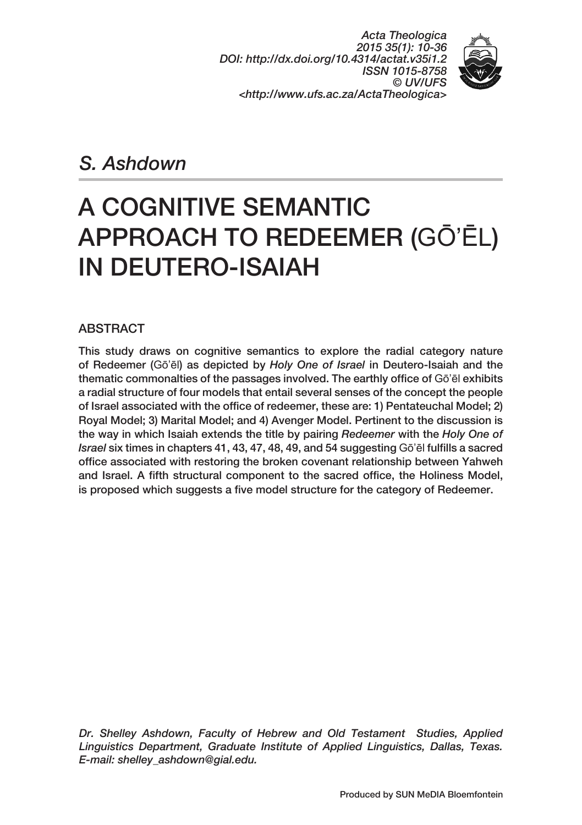*Acta Theologica 2015 35(1): 10‑36 DOI: http://dx.doi.org/10.4314/actat.v35i1.2 ISSN 1015‑8758 © UV/UFS <http://www.ufs.ac.za/ActaTheologica>*



*S. Ashdown* 

# A COGNITIVE SEMANTIC APPROACH TO REDEEMER (GŌ'ĒL) IN DEUTERO‑ISAIAH

### ABSTRACT

This study draws on cognitive semantics to explore the radial category nature of Redeemer (Gō'ēl) as depicted by *Holy One of Israel* in Deutero‑Isaiah and the thematic commonalties of the passages involved. The earthly office of Gō'ēl exhibits a radial structure of four models that entail several senses of the concept the people of Israel associated with the office of redeemer, these are: 1) Pentateuchal Model; 2) Royal Model; 3) Marital Model; and 4) Avenger Model. Pertinent to the discussion is the way in which Isaiah extends the title by pairing *Redeemer* with the *Holy One of Israel* six times in chapters 41, 43, 47, 48, 49, and 54 suggesting Gō'ēl fulfills a sacred office associated with restoring the broken covenant relationship between Yahweh and Israel. A fifth structural component to the sacred office, the Holiness Model, is proposed which suggests a five model structure for the category of Redeemer.

*Dr. Shelley Ashdown, Faculty of Hebrew and Old Testament Studies, Applied Linguistics Department, Graduate Institute of Applied Linguistics, Dallas, Texas. E‑mail: shelley\_ashdown@gial.edu.*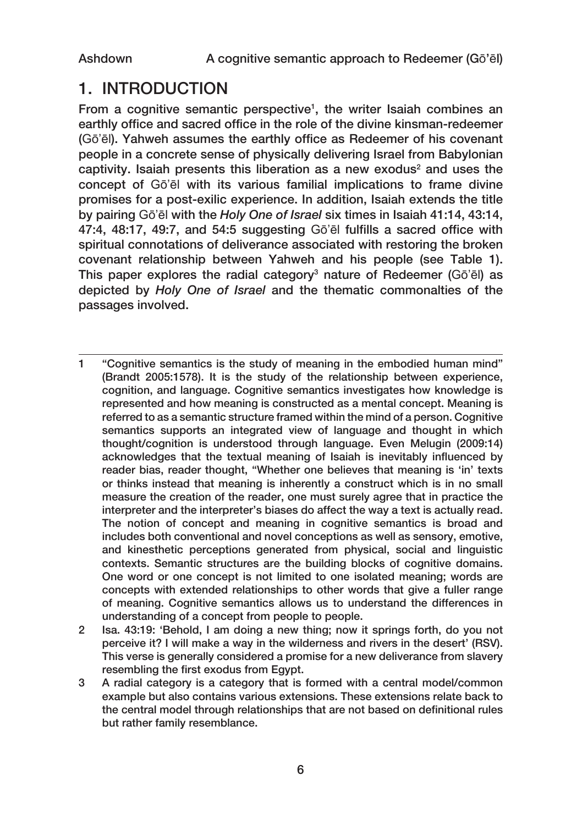## 1. INTRODUCTION

From a cognitive semantic perspective<sup>1</sup>, the writer Isaiah combines an earthly office and sacred office in the role of the divine kinsman-redeemer (Gō'ēl). Yahweh assumes the earthly office as Redeemer of his covenant people in a concrete sense of physically delivering Israel from Babylonian captivity. Isaiah presents this liberation as a new exodus<sup>2</sup> and uses the concept of Gō'ēl with its various familial implications to frame divine promises for a post-exilic experience. In addition, Isaiah extends the title by pairing Gō'ēl with the *Holy One of Israel* six times in Isaiah 41:14, 43:14, 47:4, 48:17, 49:7, and 54:5 suggesting Gō'ēl fulfills a sacred office with spiritual connotations of deliverance associated with restoring the broken covenant relationship between Yahweh and his people (see Table 1). This paper explores the radial category<sup>3</sup> nature of Redeemer (Gō'ēl) as depicted by *Holy One of Israel* and the thematic commonalties of the passages involved.

- 1 "Cognitive semantics is the study of meaning in the embodied human mind" (Brandt 2005:1578). It is the study of the relationship between experience, cognition, and language. Cognitive semantics investigates how knowledge is represented and how meaning is constructed as a mental concept. Meaning is referred to as a semantic structure framed within the mind of a person. Cognitive semantics supports an integrated view of language and thought in which thought/cognition is understood through language. Even Melugin (2009:14) acknowledges that the textual meaning of Isaiah is inevitably influenced by reader bias, reader thought, "Whether one believes that meaning is 'in' texts or thinks instead that meaning is inherently a construct which is in no small measure the creation of the reader, one must surely agree that in practice the interpreter and the interpreter's biases do affect the way a text is actually read. The notion of concept and meaning in cognitive semantics is broad and includes both conventional and novel conceptions as well as sensory, emotive, and kinesthetic perceptions generated from physical, social and linguistic contexts. Semantic structures are the building blocks of cognitive domains. One word or one concept is not limited to one isolated meaning; words are concepts with extended relationships to other words that give a fuller range of meaning. Cognitive semantics allows us to understand the differences in understanding of a concept from people to people.
- 2 Isa. 43:19: 'Behold, I am doing a new thing; now it springs forth, do you not perceive it? I will make a way in the wilderness and rivers in the desert' (RSV). This verse is generally considered a promise for a new deliverance from slavery resembling the first exodus from Egypt.
- 3 A radial category is a category that is formed with a central model/common example but also contains various extensions. These extensions relate back to the central model through relationships that are not based on definitional rules but rather family resemblance.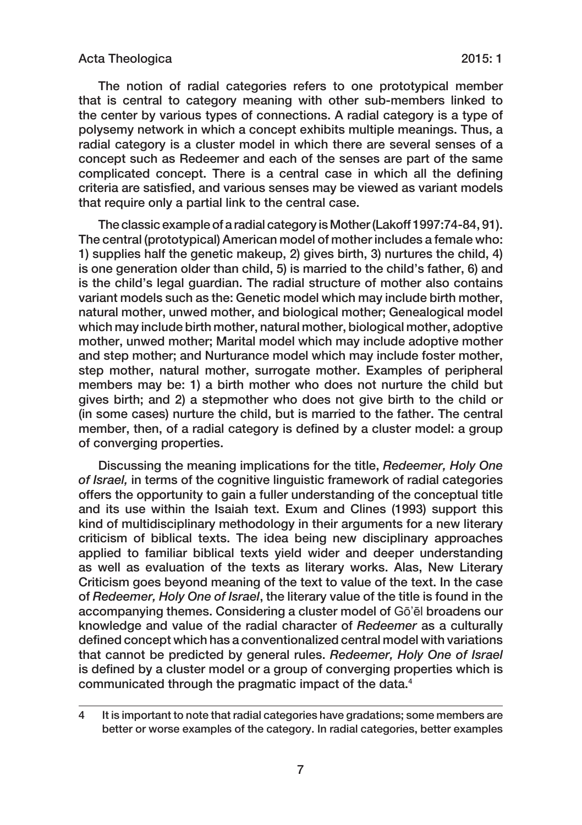The notion of radial categories refers to one prototypical member that is central to category meaning with other sub-members linked to the center by various types of connections. A radial category is a type of polysemy network in which a concept exhibits multiple meanings. Thus, a radial category is a cluster model in which there are several senses of a concept such as Redeemer and each of the senses are part of the same complicated concept. There is a central case in which all the defining criteria are satisfied, and various senses may be viewed as variant models that require only a partial link to the central case.

The classic example of a radial category is Mother (Lakoff 1997:74‑84, 91). The central (prototypical) American model of mother includes a female who: 1) supplies half the genetic makeup, 2) gives birth, 3) nurtures the child, 4) is one generation older than child, 5) is married to the child's father, 6) and is the child's legal guardian. The radial structure of mother also contains variant models such as the: Genetic model which may include birth mother, natural mother, unwed mother, and biological mother; Genealogical model which may include birth mother, natural mother, biological mother, adoptive mother, unwed mother; Marital model which may include adoptive mother and step mother; and Nurturance model which may include foster mother, step mother, natural mother, surrogate mother. Examples of peripheral members may be: 1) a birth mother who does not nurture the child but gives birth; and 2) a stepmother who does not give birth to the child or (in some cases) nurture the child, but is married to the father. The central member, then, of a radial category is defined by a cluster model: a group of converging properties.

Discussing the meaning implications for the title, *Redeemer, Holy One of Israel,* in terms of the cognitive linguistic framework of radial categories offers the opportunity to gain a fuller understanding of the conceptual title and its use within the Isaiah text. Exum and Clines (1993) support this kind of multidisciplinary methodology in their arguments for a new literary criticism of biblical texts. The idea being new disciplinary approaches applied to familiar biblical texts yield wider and deeper understanding as well as evaluation of the texts as literary works. Alas, New Literary Criticism goes beyond meaning of the text to value of the text. In the case of *Redeemer, Holy One of Israel*, the literary value of the title is found in the accompanying themes. Considering a cluster model of Gō'ēl broadens our knowledge and value of the radial character of *Redeemer* as a culturally defined concept which has a conventionalized central model with variations that cannot be predicted by general rules. *Redeemer, Holy One of Israel* is defined by a cluster model or a group of converging properties which is communicated through the pragmatic impact of the data.<sup>4</sup>

<sup>4</sup> It is important to note that radial categories have gradations; some members are better or worse examples of the category. In radial categories, better examples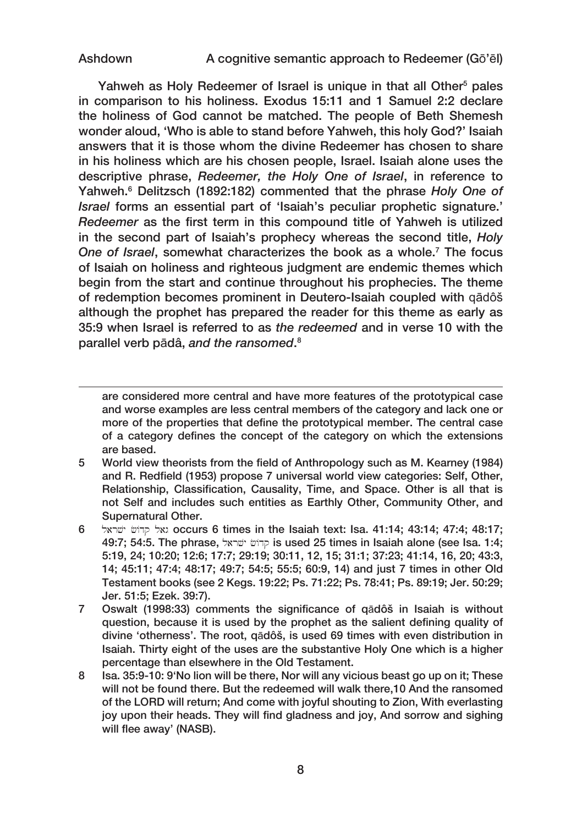Yahweh as Holy Redeemer of Israel is unique in that all Other<sup>5</sup> pales in comparison to his holiness. Exodus 15:11 and 1 Samuel 2:2 declare the holiness of God cannot be matched. The people of Beth Shemesh wonder aloud, 'Who is able to stand before Yahweh, this holy God?' Isaiah answers that it is those whom the divine Redeemer has chosen to share in his holiness which are his chosen people, Israel. Isaiah alone uses the descriptive phrase, *Redeemer, the Holy One of Israel*, in reference to Yahweh.6 Delitzsch (1892:182) commented that the phrase *Holy One of Israel* forms an essential part of 'Isaiah's peculiar prophetic signature.' *Redeemer* as the first term in this compound title of Yahweh is utilized in the second part of Isaiah's prophecy whereas the second title, *Holy One of Israel*, somewhat characterizes the book as a whole.7 The focus of Isaiah on holiness and righteous judgment are endemic themes which begin from the start and continue throughout his prophecies. The theme of redemption becomes prominent in Deutero‑Isaiah coupled with qādôš although the prophet has prepared the reader for this theme as early as 35:9 when Israel is referred to as *the redeemed* and in verse 10 with the parallel verb pādâ, *and the ransomed*. 8

are considered more central and have more features of the prototypical case and worse examples are less central members of the category and lack one or more of the properties that define the prototypical member. The central case of a category defines the concept of the category on which the extensions are based.

- 5 World view theorists from the field of Anthropology such as M. Kearney (1984) and R. Redfield (1953) propose 7 universal world view categories: Self, Other, Relationship, Classification, Causality, Time, and Space. Other is all that is not Self and includes such entities as Earthly Other, Community Other, and Supernatural Other.
- 6 ואל קדוֹש ישראל occurs 6 times in the Isaiah text: Isa. 41:14; 43:14; 47:4; 48:17; 49:7; 54:5. The phrase, סְרוֹשׁ יָשׁראל is used 25 times in Isaiah alone (see Isa. 1:4; 5:19, 24; 10:20; 12:6; 17:7; 29:19; 30:11, 12, 15; 31:1; 37:23; 41:14, 16, 20; 43:3, 14; 45:11; 47:4; 48:17; 49:7; 54:5; 55:5; 60:9, 14) and just 7 times in other Old Testament books (see 2 Kegs. 19:22; Ps. 71:22; Ps. 78:41; Ps. 89:19; Jer. 50:29; Jer. 51:5; Ezek. 39:7).
- 7 Oswalt (1998:33) comments the significance of qādôš in Isaiah is without question, because it is used by the prophet as the salient defining quality of divine 'otherness'. The root, qādôš, is used 69 times with even distribution in Isaiah. Thirty eight of the uses are the substantive Holy One which is a higher percentage than elsewhere in the Old Testament.
- 8 Isa. 35:9-10: 9'No lion will be there, Nor will any vicious beast go up on it; These will not be found there. But the redeemed will walk there,10 And the ransomed of the LORD will return; And come with joyful shouting to Zion, With everlasting joy upon their heads. They will find gladness and joy, And sorrow and sighing will flee away' (NASB).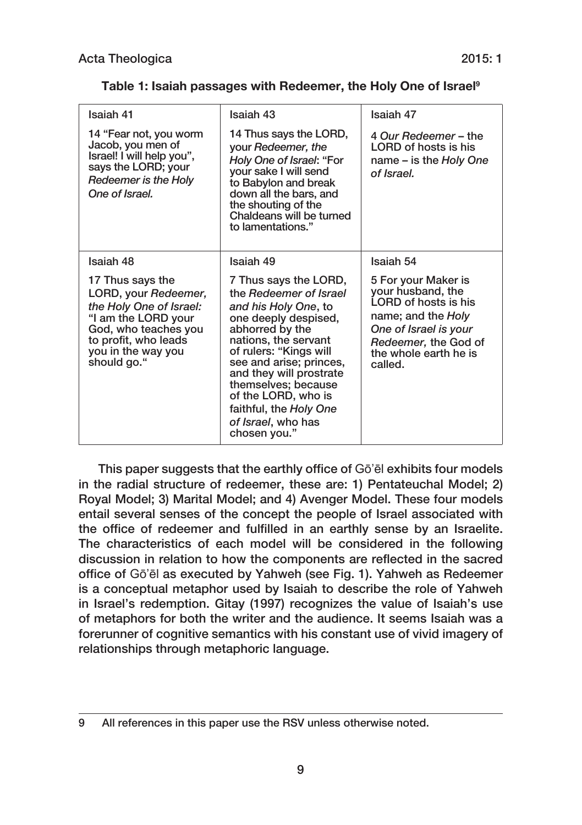| Isaiah 41                                                                                                                                                                       | Isaiah 43                                                                                                                                                                                                                                                                                                                                | Isaiah 47                                                                                                                                                                   |
|---------------------------------------------------------------------------------------------------------------------------------------------------------------------------------|------------------------------------------------------------------------------------------------------------------------------------------------------------------------------------------------------------------------------------------------------------------------------------------------------------------------------------------|-----------------------------------------------------------------------------------------------------------------------------------------------------------------------------|
| 14 "Fear not, you worm<br>Jacob, you men of<br>Israel! I will help you",<br>says the LORD; your<br>Redeemer is the Holy<br>One of Israel.                                       | 14 Thus says the LORD,<br>your Redeemer, the<br>Holy One of Israel: "For<br>your sake I will send<br>to Babylon and break<br>down all the bars, and<br>the shouting of the<br>Chaldeans will be turned<br>to lamentations."                                                                                                              | 4 Our Redeemer - the<br>LORD of hosts is his<br>name – is the Holy One<br>of Israel.                                                                                        |
| Isaiah 48                                                                                                                                                                       | Isaiah 49                                                                                                                                                                                                                                                                                                                                | Isaiah 54                                                                                                                                                                   |
| 17 Thus says the<br>LORD, your Redeemer,<br>the Holy One of Israel:<br>"I am the LORD your<br>God, who teaches you<br>to profit, who leads<br>you in the way you<br>should go." | 7 Thus says the LORD,<br>the Redeemer of Israel<br>and his Holy One, to<br>one deeply despised,<br>abhorred by the<br>nations, the servant<br>of rulers: "Kings will<br>see and arise; princes,<br>and they will prostrate<br>themselves; because<br>of the LORD, who is<br>faithful, the Holy One<br>of Israel, who has<br>chosen you." | 5 For your Maker is<br>your husband, the<br>LORD of hosts is his<br>name; and the Holy<br>One of Israel is your<br>Redeemer, the God of<br>the whole earth he is<br>called. |

|  |  | Table 1: Isaiah passages with Redeemer, the Holy One of Israel <sup>9</sup> |  |  |
|--|--|-----------------------------------------------------------------------------|--|--|
|  |  |                                                                             |  |  |

This paper suggests that the earthly office of Gō'ēl exhibits four models in the radial structure of redeemer, these are: 1) Pentateuchal Model; 2) Royal Model; 3) Marital Model; and 4) Avenger Model. These four models entail several senses of the concept the people of Israel associated with the office of redeemer and fulfilled in an earthly sense by an Israelite. The characteristics of each model will be considered in the following discussion in relation to how the components are reflected in the sacred office of Gō'ēl as executed by Yahweh (see Fig. 1). Yahweh as Redeemer is a conceptual metaphor used by Isaiah to describe the role of Yahweh in Israel's redemption. Gitay (1997) recognizes the value of Isaiah's use of metaphors for both the writer and the audience. It seems Isaiah was a forerunner of cognitive semantics with his constant use of vivid imagery of relationships through metaphoric language.

<sup>9</sup> All references in this paper use the RSV unless otherwise noted.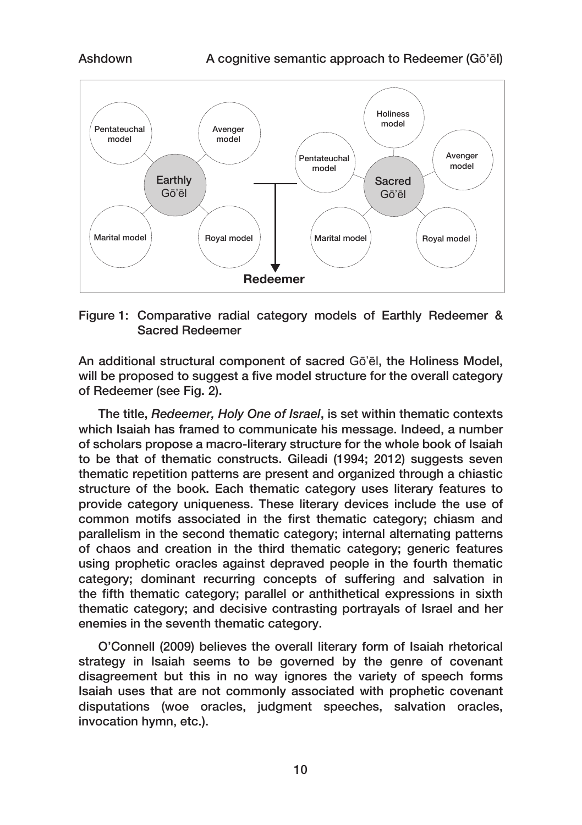

Figure 1: Comparative radial category models of Earthly Redeemer & Sacred Redeemer

An additional structural component of sacred Gō'ēl, the Holiness Model, will be proposed to suggest a five model structure for the overall category of Redeemer (see Fig. 2).

The title, *Redeemer, Holy One of Israel*, is set within thematic contexts which Isaiah has framed to communicate his message. Indeed, a number of scholars propose a macro‑literary structure for the whole book of Isaiah to be that of thematic constructs. Gileadi (1994; 2012) suggests seven thematic repetition patterns are present and organized through a chiastic structure of the book. Each thematic category uses literary features to provide category uniqueness. These literary devices include the use of common motifs associated in the first thematic category; chiasm and parallelism in the second thematic category; internal alternating patterns of chaos and creation in the third thematic category; generic features using prophetic oracles against depraved people in the fourth thematic category; dominant recurring concepts of suffering and salvation in the fifth thematic category; parallel or anthithetical expressions in sixth thematic category; and decisive contrasting portrayals of Israel and her enemies in the seventh thematic category.

O'Connell (2009) believes the overall literary form of Isaiah rhetorical strategy in Isaiah seems to be governed by the genre of covenant disagreement but this in no way ignores the variety of speech forms Isaiah uses that are not commonly associated with prophetic covenant disputations (woe oracles, judgment speeches, salvation oracles, invocation hymn, etc.).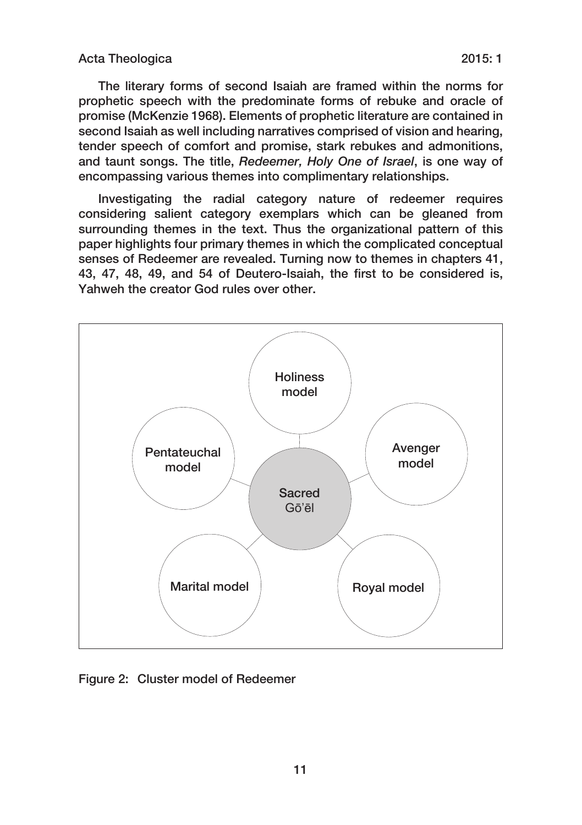The literary forms of second Isaiah are framed within the norms for prophetic speech with the predominate forms of rebuke and oracle of promise (McKenzie 1968). Elements of prophetic literature are contained in second Isaiah as well including narratives comprised of vision and hearing, tender speech of comfort and promise, stark rebukes and admonitions, and taunt songs. The title, *Redeemer, Holy One of Israel*, is one way of encompassing various themes into complimentary relationships.

Investigating the radial category nature of redeemer requires considering salient category exemplars which can be gleaned from surrounding themes in the text. Thus the organizational pattern of this paper highlights four primary themes in which the complicated conceptual senses of Redeemer are revealed. Turning now to themes in chapters 41, 43, 47, 48, 49, and 54 of Deutero-Isaiah, the first to be considered is, Yahweh the creator God rules over other.



Figure 2: Cluster model of Redeemer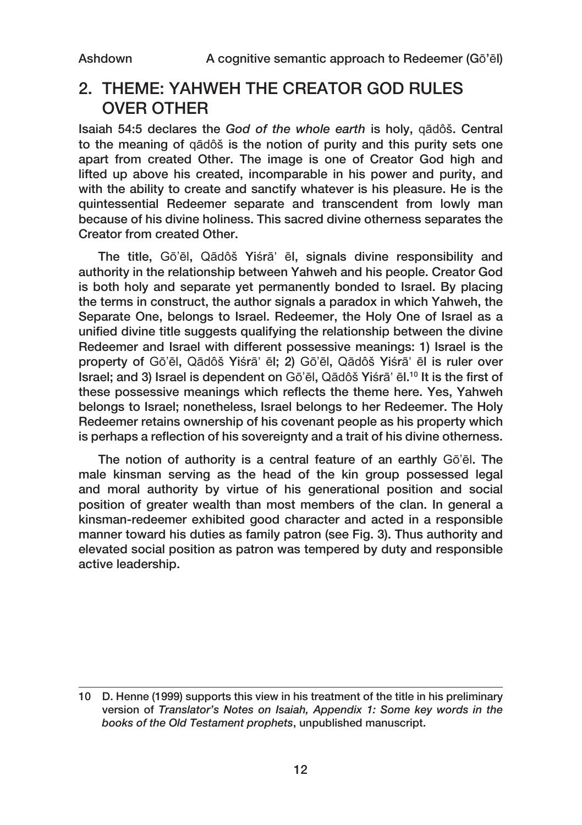### 2. THEME: YAHWEH THE CREATOR GOD RULES OVER OTHER

Isaiah 54:5 declares the *God of the whole earth* is holy, qādôš. Central to the meaning of qādôš is the notion of purity and this purity sets one apart from created Other. The image is one of Creator God high and lifted up above his created, incomparable in his power and purity, and with the ability to create and sanctify whatever is his pleasure. He is the quintessential Redeemer separate and transcendent from lowly man because of his divine holiness. This sacred divine otherness separates the Creator from created Other.

The title, Gō'ēl, Qādôš Yiśrā' ēl, signals divine responsibility and authority in the relationship between Yahweh and his people. Creator God is both holy and separate yet permanently bonded to Israel. By placing the terms in construct, the author signals a paradox in which Yahweh, the Separate One, belongs to Israel. Redeemer, the Holy One of Israel as a unified divine title suggests qualifying the relationship between the divine Redeemer and Israel with different possessive meanings: 1) Israel is the property of Gō'ēl, Qādôš Yiśrā' ēl; 2) Gō'ēl, Qādôš Yiśrā' ēl is ruler over Israel; and 3) Israel is dependent on Gō'ēl, Qādôš Yiśrā' ēl.10 It is the first of these possessive meanings which reflects the theme here. Yes, Yahweh belongs to Israel; nonetheless, Israel belongs to her Redeemer. The Holy Redeemer retains ownership of his covenant people as his property which is perhaps a reflection of his sovereignty and a trait of his divine otherness.

The notion of authority is a central feature of an earthly Gō'ēl. The male kinsman serving as the head of the kin group possessed legal and moral authority by virtue of his generational position and social position of greater wealth than most members of the clan. In general a kinsman‑redeemer exhibited good character and acted in a responsible manner toward his duties as family patron (see Fig. 3). Thus authority and elevated social position as patron was tempered by duty and responsible active leadership.

<sup>10</sup> D. Henne (1999) supports this view in his treatment of the title in his preliminary version of *Translator's Notes on Isaiah, Appendix 1: Some key words in the books of the Old Testament prophets*, unpublished manuscript.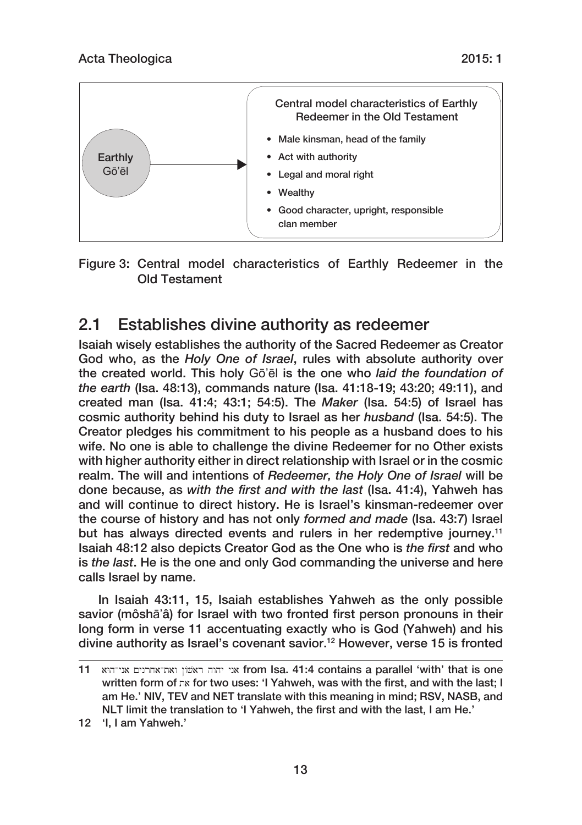



Figure 3: Central model characteristics of Earthly Redeemer in the Old Testament

## 2.1 Establishes divine authority as redeemer

Isaiah wisely establishes the authority of the Sacred Redeemer as Creator God who, as the *Holy One of Israel*, rules with absolute authority over the created world. This holy Gō'ēl is the one who *laid the foundation of the earth* (Isa. 48:13), commands nature (Isa. 41:18‑19; 43:20; 49:11), and created man (Isa. 41:4; 43:1; 54:5). The *Maker* (Isa. 54:5) of Israel has cosmic authority behind his duty to Israel as her *husband* (Isa. 54:5). The Creator pledges his commitment to his people as a husband does to his wife. No one is able to challenge the divine Redeemer for no Other exists with higher authority either in direct relationship with Israel or in the cosmic realm. The will and intentions of *Redeemer, the Holy One of Israel* will be done because, as *with the first and with the last* (Isa. 41:4), Yahweh has and will continue to direct history. He is Israel's kinsman‑redeemer over the course of history and has not only *formed and made* (Isa. 43:7) Israel but has always directed events and rulers in her redemptive journey.<sup>11</sup> Isaiah 48:12 also depicts Creator God as the One who is *the first* and who is *the last*. He is the one and only God commanding the universe and here calls Israel by name.

In Isaiah 43:11, 15, Isaiah establishes Yahweh as the only possible savior (môshā'â) for Israel with two fronted first person pronouns in their long form in verse 11 accentuating exactly who is God (Yahweh) and his divine authority as Israel's covenant savior.12 However, verse 15 is fronted

<sup>11</sup> aWhAyna ynrjaAtaw /var hwhy yna from Isa. 41:4 contains a parallel 'with' that is one written form of  $\pi$  for two uses: 'I Yahweh, was with the first, and with the last; I am He.' NIV, TEV and NET translate with this meaning in mind; RSV, NASB, and NLT limit the translation to 'I Yahweh, the first and with the last, I am He.'

<sup>12</sup> 'I, I am Yahweh.'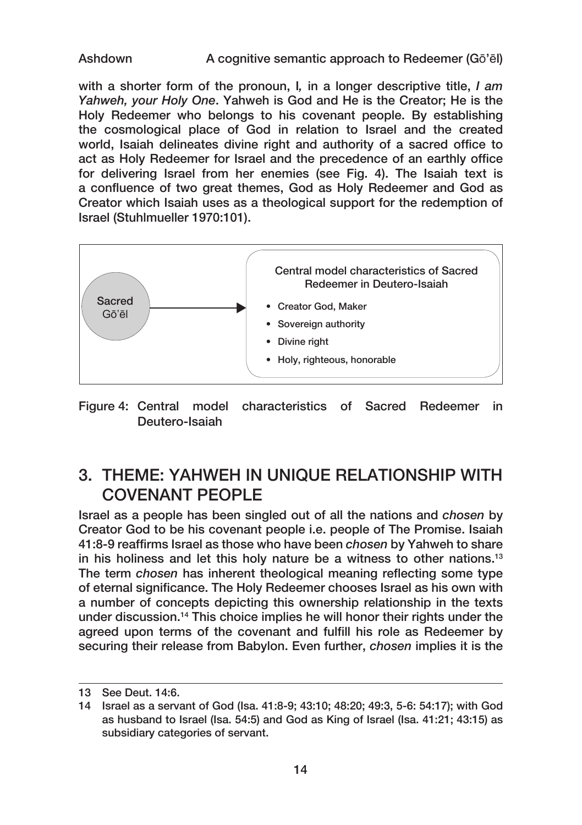with a shorter form of the pronoun, I*,* in a longer descriptive title, *I am Yahweh, your Holy One*. Yahweh is God and He is the Creator; He is the Holy Redeemer who belongs to his covenant people. By establishing the cosmological place of God in relation to Israel and the created world, Isaiah delineates divine right and authority of a sacred office to act as Holy Redeemer for Israel and the precedence of an earthly office for delivering Israel from her enemies (see Fig. 4). The Isaiah text is a confluence of two great themes, God as Holy Redeemer and God as Creator which Isaiah uses as a theological support for the redemption of Israel (Stuhlmueller 1970:101).



Figure 4: Central model characteristics of Sacred Redeemer in Deutero‑Isaiah

## 3. THEME: YAHWEH IN UNIQUE RELATIONSHIP WITH COVENANT PEOPLE

Israel as a people has been singled out of all the nations and *chosen* by Creator God to be his covenant people i.e. people of The Promise. Isaiah 41:8‑9 reaffirms Israel as those who have been *chosen* by Yahweh to share in his holiness and let this holy nature be a witness to other nations.13 The term *chosen* has inherent theological meaning reflecting some type of eternal significance. The Holy Redeemer chooses Israel as his own with a number of concepts depicting this ownership relationship in the texts under discussion.14 This choice implies he will honor their rights under the agreed upon terms of the covenant and fulfill his role as Redeemer by securing their release from Babylon. Even further, *chosen* implies it is the

<sup>13</sup> See Deut. 14:6.

<sup>14</sup> Israel as a servant of God (Isa. 41:8‑9; 43:10; 48:20; 49:3, 5‑6: 54:17); with God as husband to Israel (Isa. 54:5) and God as King of Israel (Isa. 41:21; 43:15) as subsidiary categories of servant.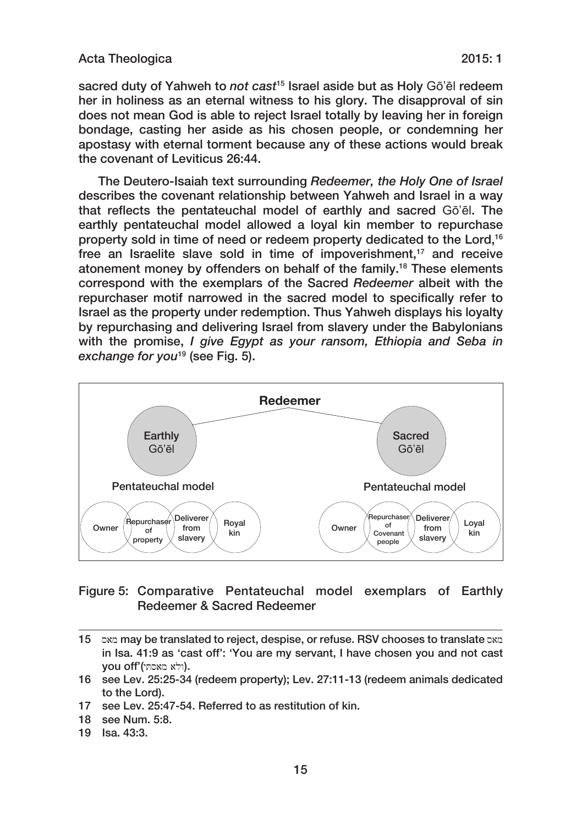#### Acta Theologica 2015: 1

sacred duty of Yahweh to *not cast*15 Israel aside but as Holy Gō'ēl redeem her in holiness as an eternal witness to his glory. The disapproval of sin does not mean God is able to reject Israel totally by leaving her in foreign bondage, casting her aside as his chosen people, or condemning her apostasy with eternal torment because any of these actions would break the covenant of Leviticus 26:44.

The Deutero‑Isaiah text surrounding *Redeemer, the Holy One of Israel* describes the covenant relationship between Yahweh and Israel in a way that reflects the pentateuchal model of earthly and sacred Gō'ēl. The earthly pentateuchal model allowed a loyal kin member to repurchase property sold in time of need or redeem property dedicated to the Lord,<sup>16</sup> free an Israelite slave sold in time of impoverishment,<sup>17</sup> and receive atonement money by offenders on behalf of the family.18 These elements correspond with the exemplars of the Sacred *Redeemer* albeit with the repurchaser motif narrowed in the sacred model to specifically refer to Israel as the property under redemption. Thus Yahweh displays his loyalty by repurchasing and delivering Israel from slavery under the Babylonians with the promise, *I give Egypt as your ransom, Ethiopia and Seba in exchange for you*19 (see Fig. 5).



### Figure 5: Comparative Pentateuchal model exemplars of Earthly Redeemer & Sacred Redeemer

19 Isa. 43:3.

<sup>15</sup> oxe may be translated to reject, despise, or refuse, RSV chooses to translate oxe in Isa. 41:9 as 'cast off': 'You are my servant, I have chosen you and not cast you off'(ולא מאסתי).

<sup>16</sup> see Lev. 25:25‑34 (redeem property); Lev. 27:11‑13 (redeem animals dedicated to the Lord).

<sup>17</sup> see Lev. 25:47‑54. Referred to as restitution of kin.

<sup>18</sup> see Num. 5:8.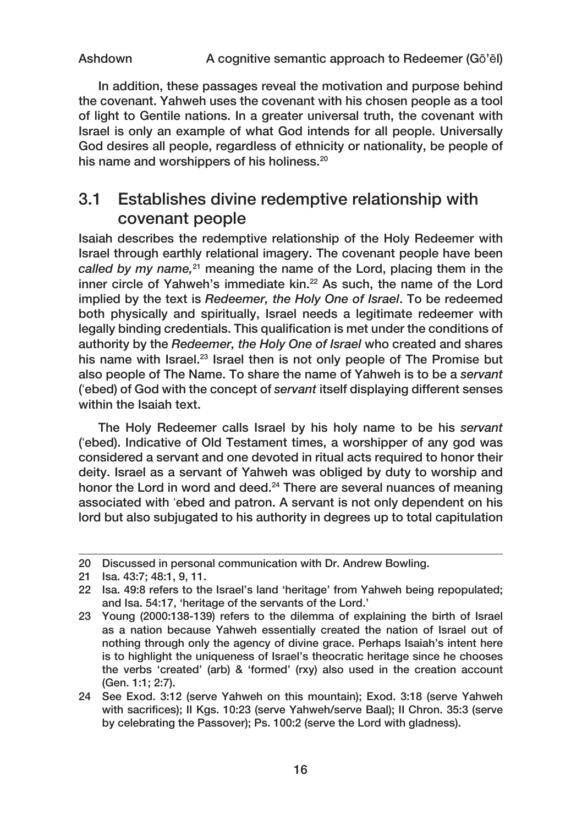In addition, these passages reveal the motivation and purpose behind the covenant. Yahweh uses the covenant with his chosen people as a tool of light to Gentile nations. In a greater universal truth, the covenant with Israel is only an example of what God intends for all people. Universally God desires all people, regardless of ethnicity or nationality, be people of his name and worshippers of his holiness.<sup>20</sup>

### 3.1 Establishes divine redemptive relationship with covenant people

Isaiah describes the redemptive relationship of the Holy Redeemer with Israel through earthly relational imagery. The covenant people have been *called by my name,*21 meaning the name of the Lord, placing them in the inner circle of Yahweh's immediate kin.<sup>22</sup> As such, the name of the Lord implied by the text is *Redeemer, the Holy One of Israel*. To be redeemed both physically and spiritually, Israel needs a legitimate redeemer with legally binding credentials. This qualification is met under the conditions of authority by the *Redeemer, the Holy One of Israel* who created and shares his name with Israel.<sup>23</sup> Israel then is not only people of The Promise but also people of The Name. To share the name of Yahweh is to be a *servant* ('ebed) of God with the concept of *servant* itself displaying different senses within the Isaiah text.

The Holy Redeemer calls Israel by his holy name to be his *servant* ('ebed). Indicative of Old Testament times, a worshipper of any god was considered a servant and one devoted in ritual acts required to honor their deity. Israel as a servant of Yahweh was obliged by duty to worship and honor the Lord in word and deed.<sup>24</sup> There are several nuances of meaning associated with 'ebed and patron. A servant is not only dependent on his lord but also subjugated to his authority in degrees up to total capitulation

<sup>20</sup> Discussed in personal communication with Dr. Andrew Bowling.

<sup>21</sup> Isa. 43:7; 48:1, 9, 11.

<sup>22</sup> Isa. 49:8 refers to the Israel's land 'heritage' from Yahweh being repopulated; and Isa. 54:17, 'heritage of the servants of the Lord.'

<sup>23</sup> Young (2000:138‑139) refers to the dilemma of explaining the birth of Israel as a nation because Yahweh essentially created the nation of Israel out of nothing through only the agency of divine grace. Perhaps Isaiah's intent here is to highlight the uniqueness of Israel's theocratic heritage since he chooses the verbs 'created' (arb) & 'formed' (rxy) also used in the creation account (Gen. 1:1; 2:7).

<sup>24</sup> See Exod. 3:12 (serve Yahweh on this mountain); Exod. 3:18 (serve Yahweh with sacrifices); II Kgs. 10:23 (serve Yahweh/serve Baal); II Chron. 35:3 (serve by celebrating the Passover); Ps. 100:2 (serve the Lord with gladness).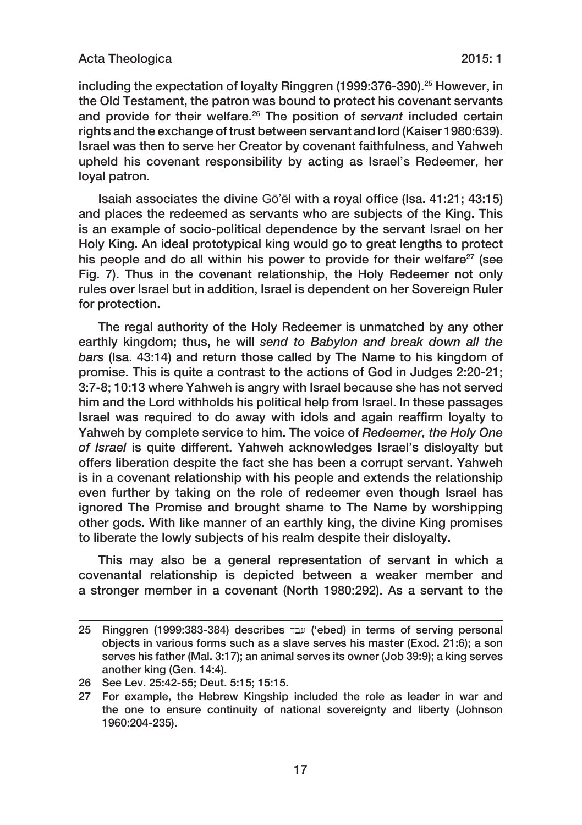#### Acta Theologica 2015: 1

including the expectation of loyalty Ringgren (1999:376‑390).25 However, in the Old Testament, the patron was bound to protect his covenant servants and provide for their welfare.26 The position of *servant* included certain rights and the exchange of trust between servant and lord (Kaiser 1980:639). Israel was then to serve her Creator by covenant faithfulness, and Yahweh upheld his covenant responsibility by acting as Israel's Redeemer, her loyal patron.

Isaiah associates the divine Gō'ēl with a royal office (Isa. 41:21; 43:15) and places the redeemed as servants who are subjects of the King. This is an example of socio‑political dependence by the servant Israel on her Holy King. An ideal prototypical king would go to great lengths to protect his people and do all within his power to provide for their welfare<sup>27</sup> (see Fig. 7). Thus in the covenant relationship, the Holy Redeemer not only rules over Israel but in addition, Israel is dependent on her Sovereign Ruler for protection.

The regal authority of the Holy Redeemer is unmatched by any other earthly kingdom; thus, he will *send to Babylon and break down all the bars* (Isa. 43:14) and return those called by The Name to his kingdom of promise. This is quite a contrast to the actions of God in Judges 2:20‑21; 3:7‑8; 10:13 where Yahweh is angry with Israel because she has not served him and the Lord withholds his political help from Israel. In these passages Israel was required to do away with idols and again reaffirm loyalty to Yahweh by complete service to him. The voice of *Redeemer, the Holy One of Israel* is quite different. Yahweh acknowledges Israel's disloyalty but offers liberation despite the fact she has been a corrupt servant. Yahweh is in a covenant relationship with his people and extends the relationship even further by taking on the role of redeemer even though Israel has ignored The Promise and brought shame to The Name by worshipping other gods. With like manner of an earthly king, the divine King promises to liberate the lowly subjects of his realm despite their disloyalty.

This may also be a general representation of servant in which a covenantal relationship is depicted between a weaker member and a stronger member in a covenant (North 1980:292). As a servant to the

<sup>25</sup> Ringgren (1999:383-384) describes עבד ('ebed) in terms of serving personal objects in various forms such as a slave serves his master (Exod. 21:6); a son serves his father (Mal. 3:17); an animal serves its owner (Job 39:9); a king serves another king (Gen. 14:4).

<sup>26</sup> See Lev. 25:42‑55; Deut. 5:15; 15:15.

<sup>27</sup> For example, the Hebrew Kingship included the role as leader in war and the one to ensure continuity of national sovereignty and liberty (Johnson 1960:204‑235).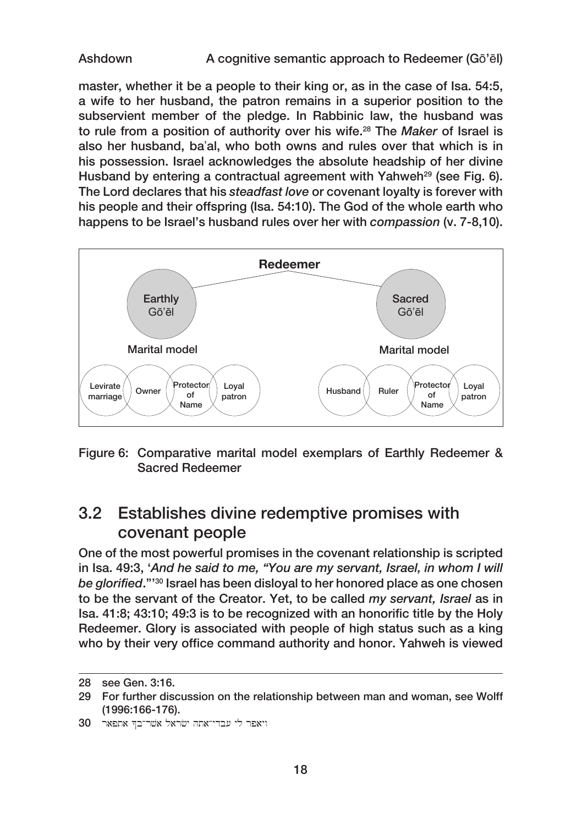Ashdown A cognitive semantic approach to Redeemer (Gō'ēl)

master, whether it be a people to their king or, as in the case of Isa. 54:5, a wife to her husband, the patron remains in a superior position to the subservient member of the pledge. In Rabbinic law, the husband was to rule from a position of authority over his wife.28 The *Maker* of Israel is also her husband, ba'al, who both owns and rules over that which is in his possession. Israel acknowledges the absolute headship of her divine Husband by entering a contractual agreement with Yahweh<sup>29</sup> (see Fig. 6). The Lord declares that his *steadfast love* or covenant loyalty is forever with his people and their offspring (Isa. 54:10). The God of the whole earth who happens to be Israel's husband rules over her with *compassion* (v. 7‑8,10).



Figure 6: Comparative marital model exemplars of Earthly Redeemer & Sacred Redeemer

## 3.2 Establishes divine redemptive promises with covenant people

One of the most powerful promises in the covenant relationship is scripted in Isa. 49:3, '*And he said to me, "You are my servant, Israel, in whom I will be glorified*."'30 Israel has been disloyal to her honored place as one chosen to be the servant of the Creator. Yet, to be called *my servant, Israel* as in Isa. 41:8; 43:10; 49:3 is to be recognized with an honorific title by the Holy Redeemer. Glory is associated with people of high status such as a king who by their very office command authority and honor. Yahweh is viewed

30 ויאפר לי עבדי־אתה ישראל אשר־בד אתפאר

<sup>28</sup> see Gen. 3:16.

<sup>29</sup> For further discussion on the relationship between man and woman, see Wolff (1996:166‑176).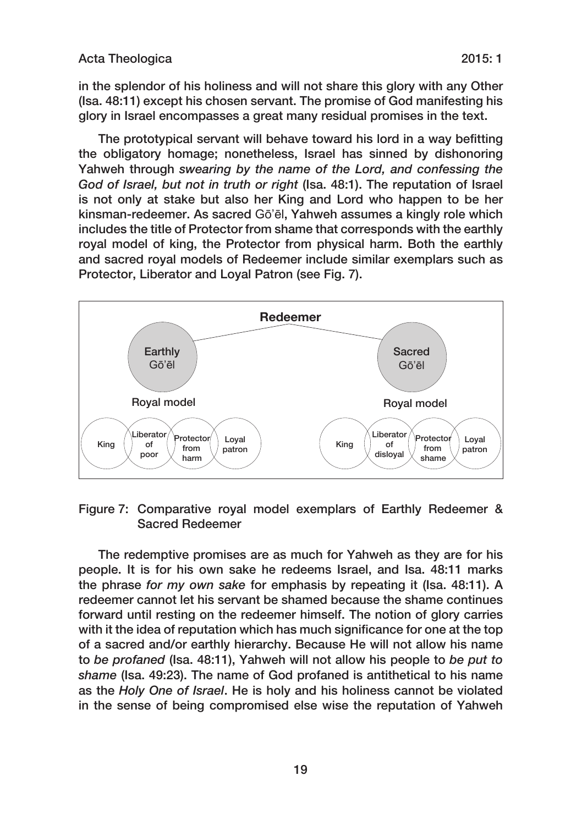in the splendor of his holiness and will not share this glory with any Other (Isa. 48:11) except his chosen servant. The promise of God manifesting his glory in Israel encompasses a great many residual promises in the text.

The prototypical servant will behave toward his lord in a way befitting the obligatory homage; nonetheless, Israel has sinned by dishonoring Yahweh through *swearing by the name of the Lord, and confessing the God of Israel, but not in truth or right* (Isa. 48:1). The reputation of Israel is not only at stake but also her King and Lord who happen to be her kinsman‑redeemer. As sacred Gō'ēl, Yahweh assumes a kingly role which includes the title of Protector from shame that corresponds with the earthly royal model of king, the Protector from physical harm. Both the earthly and sacred royal models of Redeemer include similar exemplars such as Protector, Liberator and Loyal Patron (see Fig. 7).



Figure 7: Comparative royal model exemplars of Earthly Redeemer & Sacred Redeemer

The redemptive promises are as much for Yahweh as they are for his people. It is for his own sake he redeems Israel, and Isa. 48:11 marks the phrase *for my own sake* for emphasis by repeating it (Isa. 48:11). A redeemer cannot let his servant be shamed because the shame continues forward until resting on the redeemer himself. The notion of glory carries with it the idea of reputation which has much significance for one at the top of a sacred and/or earthly hierarchy. Because He will not allow his name to *be profaned* (Isa. 48:11), Yahweh will not allow his people to *be put to shame* (Isa. 49:23). The name of God profaned is antithetical to his name as the *Holy One of Israel*. He is holy and his holiness cannot be violated in the sense of being compromised else wise the reputation of Yahweh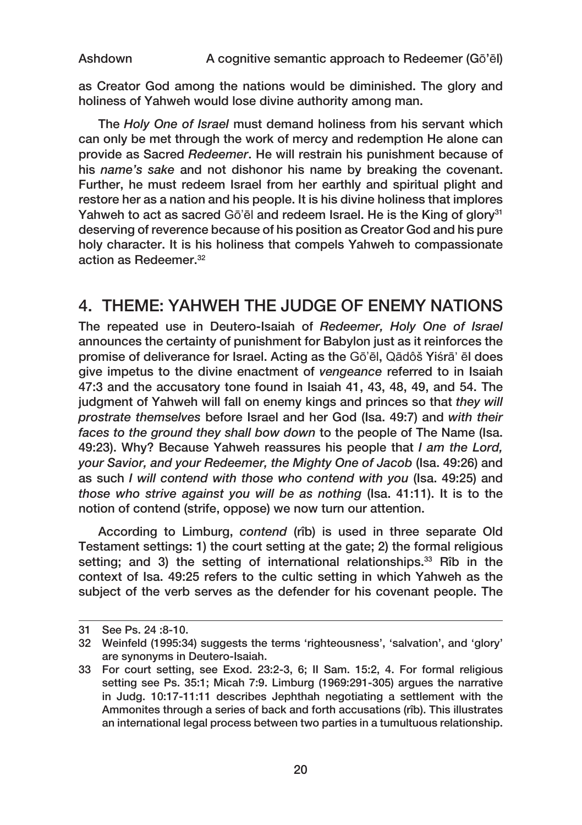as Creator God among the nations would be diminished. The glory and holiness of Yahweh would lose divine authority among man.

The *Holy One of Israel* must demand holiness from his servant which can only be met through the work of mercy and redemption He alone can provide as Sacred *Redeemer*. He will restrain his punishment because of his *name's sake* and not dishonor his name by breaking the covenant. Further, he must redeem Israel from her earthly and spiritual plight and restore her as a nation and his people. It is his divine holiness that implores Yahweh to act as sacred Gō'ēl and redeem Israel. He is the King of glory<sup>31</sup> deserving of reverence because of his position as Creator God and his pure holy character. It is his holiness that compels Yahweh to compassionate action as Redeemer.32

### 4. THEME: YAHWEH THE JUDGE OF ENEMY NATIONS

The repeated use in Deutero‑Isaiah of *Redeemer, Holy One of Israel* announces the certainty of punishment for Babylon just as it reinforces the promise of deliverance for Israel. Acting as the Gō'ēl, Qādôš Yiśrā' ēl does give impetus to the divine enactment of *vengeance* referred to in Isaiah 47:3 and the accusatory tone found in Isaiah 41, 43, 48, 49, and 54. The judgment of Yahweh will fall on enemy kings and princes so that *they will prostrate themselves* before Israel and her God (Isa. 49:7) and *with their faces to the ground they shall bow down* to the people of The Name (Isa. 49:23). Why? Because Yahweh reassures his people that *I am the Lord, your Savior, and your Redeemer, the Mighty One of Jacob* (Isa. 49:26) and as such *I will contend with those who contend with you* (Isa. 49:25) and *those who strive against you will be as nothing* (Isa. 41:11). It is to the notion of contend (strife, oppose) we now turn our attention.

According to Limburg, *contend* (rîb) is used in three separate Old Testament settings: 1) the court setting at the gate; 2) the formal religious setting; and 3) the setting of international relationships.<sup>33</sup> Rîb in the context of Isa. 49:25 refers to the cultic setting in which Yahweh as the subject of the verb serves as the defender for his covenant people. The

<sup>31</sup> See Ps. 24 :8‑10.

<sup>32</sup> Weinfeld (1995:34) suggests the terms 'righteousness', 'salvation', and 'glory' are synonyms in Deutero‑Isaiah.

<sup>33</sup> For court setting, see Exod. 23:2‑3, 6; II Sam. 15:2, 4. For formal religious setting see Ps. 35:1; Micah 7:9. Limburg (1969:291-305) argues the narrative in Judg. 10:17‑11:11 describes Jephthah negotiating a settlement with the Ammonites through a series of back and forth accusations (rîb). This illustrates an international legal process between two parties in a tumultuous relationship.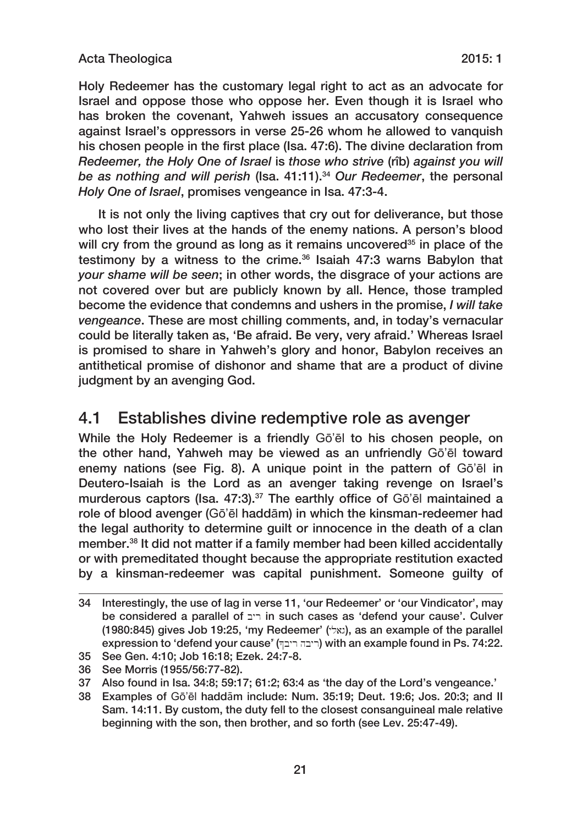### Acta Theologica 2015: 1

Holy Redeemer has the customary legal right to act as an advocate for Israel and oppose those who oppose her. Even though it is Israel who has broken the covenant, Yahweh issues an accusatory consequence against Israel's oppressors in verse 25‑26 whom he allowed to vanquish his chosen people in the first place (Isa. 47:6). The divine declaration from *Redeemer, the Holy One of Israel* is *those who strive* (rîb) *against you will be as nothing and will perish* (Isa. 41:11).34 *Our Redeemer*, the personal *Holy One of Israel*, promises vengeance in Isa. 47:3‑4.

It is not only the living captives that cry out for deliverance, but those who lost their lives at the hands of the enemy nations. A person's blood will cry from the ground as long as it remains uncovered<sup>35</sup> in place of the testimony by a witness to the crime. $36$  Isaiah 47:3 warns Babylon that *your shame will be seen*; in other words, the disgrace of your actions are not covered over but are publicly known by all. Hence, those trampled become the evidence that condemns and ushers in the promise, *I will take vengeance*. These are most chilling comments, and, in today's vernacular could be literally taken as, 'Be afraid. Be very, very afraid.' Whereas Israel is promised to share in Yahweh's glory and honor, Babylon receives an antithetical promise of dishonor and shame that are a product of divine judgment by an avenging God.

### 4.1 Establishes divine redemptive role as avenger

While the Holy Redeemer is a friendly Gō'ēl to his chosen people, on the other hand, Yahweh may be viewed as an unfriendly Gō'ēl toward enemy nations (see Fig. 8). A unique point in the pattern of Gō'ēl in Deutero-Isaiah is the Lord as an avenger taking revenge on Israel's murderous captors (Isa, 47:3).<sup>37</sup> The earthly office of Gō'ēl maintained a role of blood avenger (Gō'ēl haddām) in which the kinsman-redeemer had the legal authority to determine guilt or innocence in the death of a clan member.38 It did not matter if a family member had been killed accidentally or with premeditated thought because the appropriate restitution exacted by a kinsman-redeemer was capital punishment. Someone guilty of

<sup>34</sup> Interestingly, the use of lag in verse 11, 'our Redeemer' or 'our Vindicator', may be considered a parallel of ריב in such cases as 'defend your cause'. Culver  $(1980:845)$  gives Job 19:25, 'my Redeemer'  $(\forall x)$ , as an example of the parallel  $e$ xpression to 'defend your cause' (ריבה ריבה) with an example found in Ps. 74:22.

<sup>35</sup> See Gen. 4:10; Job 16:18; Ezek. 24:7‑8.

<sup>36</sup> See Morris (1955/56:77‑82).

<sup>37</sup> Also found in Isa. 34:8; 59:17; 61:2; 63:4 as 'the day of the Lord's vengeance.'

<sup>38</sup> Examples of Gō'ēl haddām include: Num. 35:19; Deut. 19:6; Jos. 20:3; and II Sam. 14:11. By custom, the duty fell to the closest consanguineal male relative beginning with the son, then brother, and so forth (see Lev. 25:47‑49).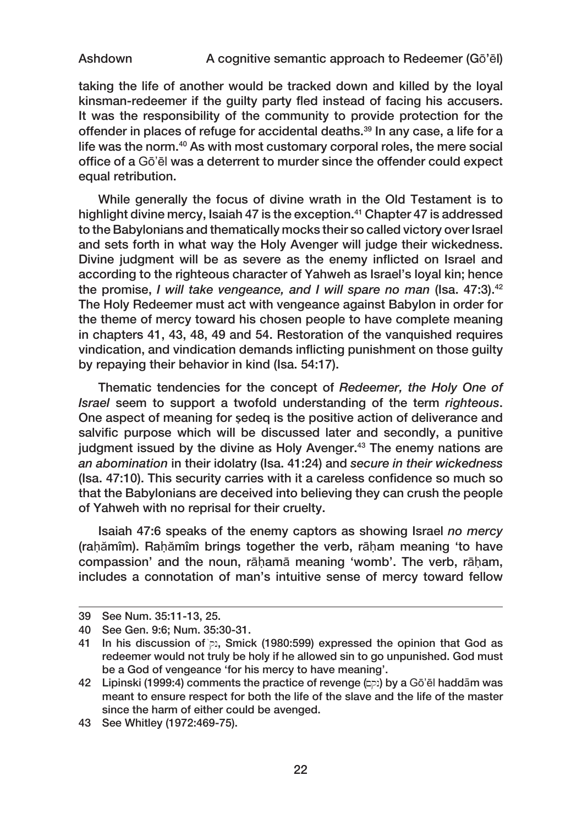taking the life of another would be tracked down and killed by the loyal kinsman‑redeemer if the guilty party fled instead of facing his accusers. It was the responsibility of the community to provide protection for the offender in places of refuge for accidental deaths.<sup>39</sup> In any case, a life for a life was the norm.<sup>40</sup> As with most customary corporal roles, the mere social office of a Gō'ēl was a deterrent to murder since the offender could expect equal retribution.

While generally the focus of divine wrath in the Old Testament is to highlight divine mercy, Isaiah 47 is the exception.<sup>41</sup> Chapter 47 is addressed to the Babylonians and thematically mocks their so called victory over Israel and sets forth in what way the Holy Avenger will judge their wickedness. Divine judgment will be as severe as the enemy inflicted on Israel and according to the righteous character of Yahweh as Israel's loyal kin; hence the promise, *I will take vengeance, and I will spare no man (Isa, 47:3)*.<sup>42</sup> The Holy Redeemer must act with vengeance against Babylon in order for the theme of mercy toward his chosen people to have complete meaning in chapters 41, 43, 48, 49 and 54. Restoration of the vanquished requires vindication, and vindication demands inflicting punishment on those guilty by repaying their behavior in kind (Isa. 54:17).

Thematic tendencies for the concept of *Redeemer, the Holy One of Israel* seem to support a twofold understanding of the term *righteous*. One aspect of meaning for **Ṣ**edeq is the positive action of deliverance and salvific purpose which will be discussed later and secondly, a punitive judgment issued by the divine as Holy Avenger.<sup>43</sup> The enemy nations are *an abomination* in their idolatry (Isa. 41:24) and *secure in their wickedness* (Isa. 47:10). This security carries with it a careless confidence so much so that the Babylonians are deceived into believing they can crush the people of Yahweh with no reprisal for their cruelty.

Isaiah 47:6 speaks of the enemy captors as showing Israel *no mercy* (rahămîm). Rahămîm brings together the verb, rāham meaning 'to have compassion' and the noun, rāḥamā meaning 'womb'. The verb, rāḥam, includes a connotation of man's intuitive sense of mercy toward fellow

<sup>39</sup> See Num. 35:11‑13, 25.

<sup>40</sup> See Gen. 9:6; Num. 35:30‑31.

<sup>41</sup> In his discussion of  $p_i$ , Smick (1980:599) expressed the opinion that God as redeemer would not truly be holy if he allowed sin to go unpunished. God must be a God of vengeance 'for his mercy to have meaning'.

<sup>42</sup> Lipinski (1999:4) comments the practice of revenge  $(p)$  by a Gō'ēl haddām was meant to ensure respect for both the life of the slave and the life of the master since the harm of either could be avenged.

<sup>43</sup> See Whitley (1972:469‑75).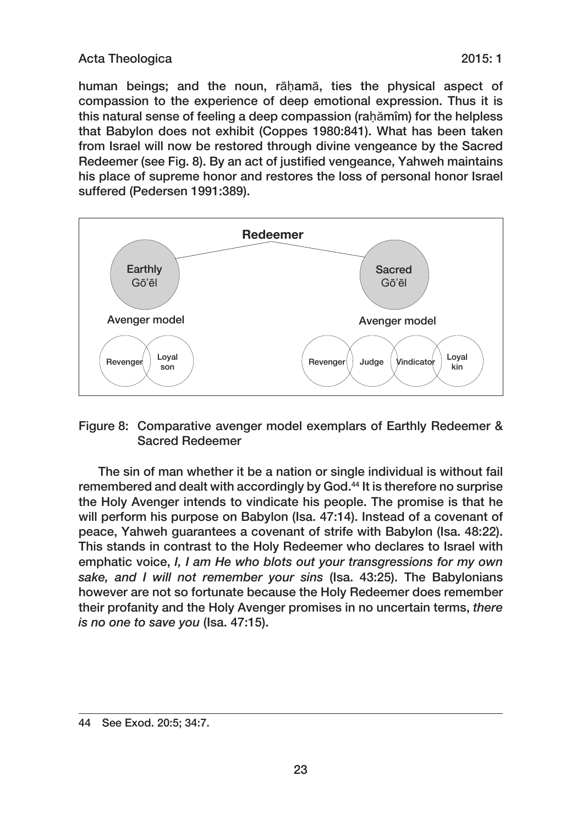### Acta Theologica 2015: 1

human beings; and the noun, rāhamā, ties the physical aspect of compassion to the experience of deep emotional expression. Thus it is this natural sense of feeling a deep compassion (rahămîm) for the helpless that Babylon does not exhibit (Coppes 1980:841). What has been taken from Israel will now be restored through divine vengeance by the Sacred Redeemer (see Fig. 8). By an act of justified vengeance, Yahweh maintains his place of supreme honor and restores the loss of personal honor Israel suffered (Pedersen 1991:389).



### Figure 8: Comparative avenger model exemplars of Earthly Redeemer & Sacred Redeemer

The sin of man whether it be a nation or single individual is without fail remembered and dealt with accordingly by God.<sup>44</sup> It is therefore no surprise the Holy Avenger intends to vindicate his people. The promise is that he will perform his purpose on Babylon (Isa. 47:14). Instead of a covenant of peace, Yahweh guarantees a covenant of strife with Babylon (Isa. 48:22). This stands in contrast to the Holy Redeemer who declares to Israel with emphatic voice, *I, I am He who blots out your transgressions for my own sake, and I will not remember your sins* (Isa. 43:25). The Babylonians however are not so fortunate because the Holy Redeemer does remember their profanity and the Holy Avenger promises in no uncertain terms, *there is no one to save you* (Isa. 47:15).

<sup>44</sup> See Exod. 20:5; 34:7.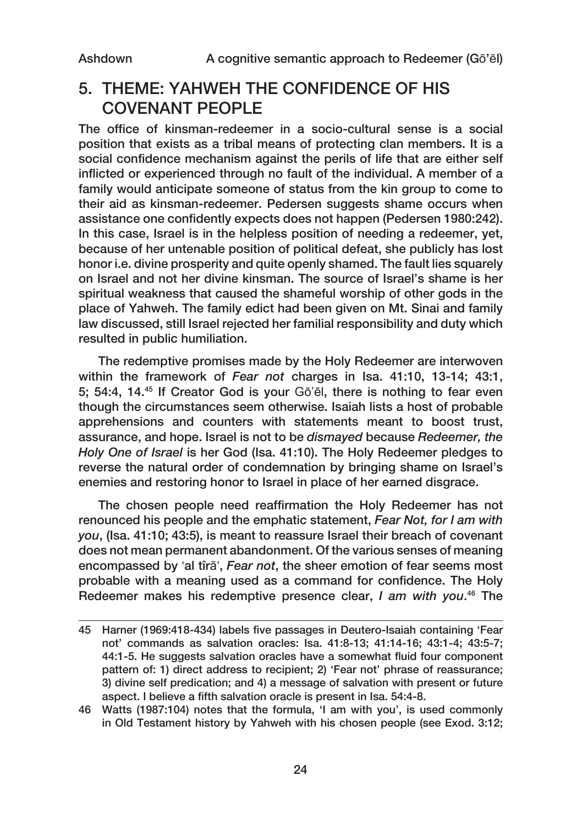## 5. THEME: YAHWEH THE CONFIDENCE OF HIS COVENANT PEOPLE

The office of kinsman-redeemer in a socio-cultural sense is a social position that exists as a tribal means of protecting clan members. It is a social confidence mechanism against the perils of life that are either self inflicted or experienced through no fault of the individual. A member of a family would anticipate someone of status from the kin group to come to their aid as kinsman‑redeemer. Pedersen suggests shame occurs when assistance one confidently expects does not happen (Pedersen 1980:242). In this case, Israel is in the helpless position of needing a redeemer, yet, because of her untenable position of political defeat, she publicly has lost honor i.e. divine prosperity and quite openly shamed. The fault lies squarely on Israel and not her divine kinsman. The source of Israel's shame is her spiritual weakness that caused the shameful worship of other gods in the place of Yahweh. The family edict had been given on Mt. Sinai and family law discussed, still Israel rejected her familial responsibility and duty which resulted in public humiliation.

The redemptive promises made by the Holy Redeemer are interwoven within the framework of *Fear not* charges in Isa. 41:10, 13‑14; 43:1, 5; 54:4, 14.45 If Creator God is your Gō'ēl, there is nothing to fear even though the circumstances seem otherwise. Isaiah lists a host of probable apprehensions and counters with statements meant to boost trust, assurance, and hope. Israel is not to be *dismayed* because *Redeemer, the Holy One of Israel* is her God (Isa. 41:10). The Holy Redeemer pledges to reverse the natural order of condemnation by bringing shame on Israel's enemies and restoring honor to Israel in place of her earned disgrace.

The chosen people need reaffirmation the Holy Redeemer has not renounced his people and the emphatic statement, *Fear Not, for I am with you*, (Isa. 41:10; 43:5), is meant to reassure Israel their breach of covenant does not mean permanent abandonment. Of the various senses of meaning encompassed by 'al tîrā', *Fear not*, the sheer emotion of fear seems most probable with a meaning used as a command for confidence. The Holy Redeemer makes his redemptive presence clear, *I am with you*. 46 The

<sup>45</sup> Harner (1969:418-434) labels five passages in Deutero-Isaiah containing 'Fear not' commands as salvation oracles: Isa. 41:8‑13; 41:14‑16; 43:1‑4; 43:5‑7; 44:1‑5. He suggests salvation oracles have a somewhat fluid four component pattern of: 1) direct address to recipient; 2) 'Fear not' phrase of reassurance; 3) divine self predication; and 4) a message of salvation with present or future aspect. I believe a fifth salvation oracle is present in Isa. 54:4‑8.

<sup>46</sup> Watts (1987:104) notes that the formula, 'I am with you', is used commonly in Old Testament history by Yahweh with his chosen people (see Exod. 3:12;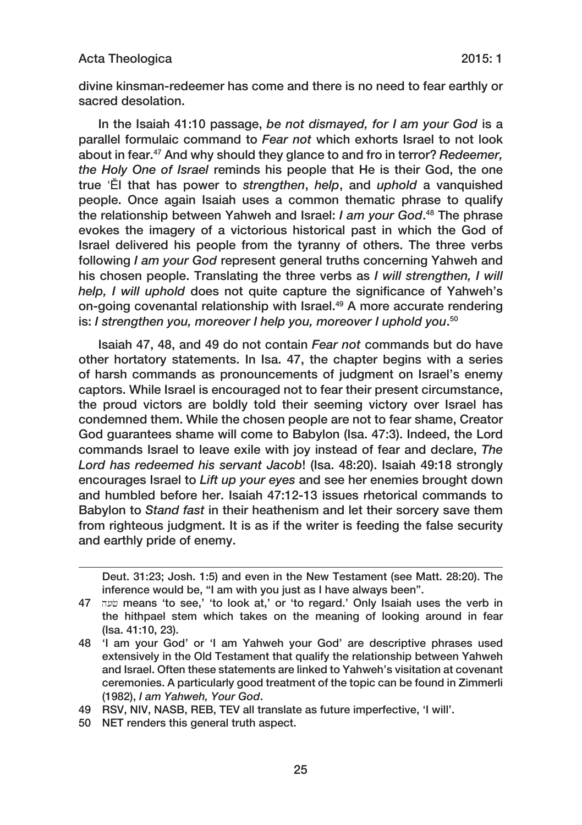#### Acta Theologica 2015: 1

divine kinsman‑redeemer has come and there is no need to fear earthly or sacred desolation.

In the Isaiah 41:10 passage, *be not dismayed, for I am your God* is a parallel formulaic command to *Fear not* which exhorts Israel to not look about in fear.47 And why should they glance to and fro in terror? *Redeemer, the Holy One of Israel* reminds his people that He is their God, the one true 'Ĕl that has power to *strengthen*, *help*, and *uphold* a vanquished people. Once again Isaiah uses a common thematic phrase to qualify the relationship between Yahweh and Israel: *I am your God*. 48 The phrase evokes the imagery of a victorious historical past in which the God of Israel delivered his people from the tyranny of others. The three verbs following *I am your God* represent general truths concerning Yahweh and his chosen people. Translating the three verbs as *I will strengthen, I will help, I will uphold* does not quite capture the significance of Yahweh's on-going covenantal relationship with Israel.<sup>49</sup> A more accurate rendering is: *I strengthen you, moreover I help you, moreover I uphold you*. 50

Isaiah 47, 48, and 49 do not contain *Fear not* commands but do have other hortatory statements. In Isa. 47, the chapter begins with a series of harsh commands as pronouncements of judgment on Israel's enemy captors. While Israel is encouraged not to fear their present circumstance, the proud victors are boldly told their seeming victory over Israel has condemned them. While the chosen people are not to fear shame, Creator God guarantees shame will come to Babylon (Isa. 47:3). Indeed, the Lord commands Israel to leave exile with joy instead of fear and declare, *The Lord has redeemed his servant Jacob*! (Isa. 48:20). Isaiah 49:18 strongly encourages Israel to *Lift up your eyes* and see her enemies brought down and humbled before her. Isaiah 47:12‑13 issues rhetorical commands to Babylon to *Stand fast* in their heathenism and let their sorcery save them from righteous judgment. It is as if the writer is feeding the false security and earthly pride of enemy.

Deut. 31:23; Josh. 1:5) and even in the New Testament (see Matt. 28:20). The inference would be, "I am with you just as I have always been".

<sup>47</sup> h[c means 'to see,' 'to look at,' or 'to regard.' Only Isaiah uses the verb in the hithpael stem which takes on the meaning of looking around in fear (Isa. 41:10, 23).

<sup>48</sup> 'I am your God' or 'I am Yahweh your God' are descriptive phrases used extensively in the Old Testament that qualify the relationship between Yahweh and Israel. Often these statements are linked to Yahweh's visitation at covenant ceremonies. A particularly good treatment of the topic can be found in Zimmerli (1982), *I am Yahweh, Your God*.

<sup>49</sup> RSV, NIV, NASB, REB, TEV all translate as future imperfective, 'I will'.

<sup>50</sup> NET renders this general truth aspect.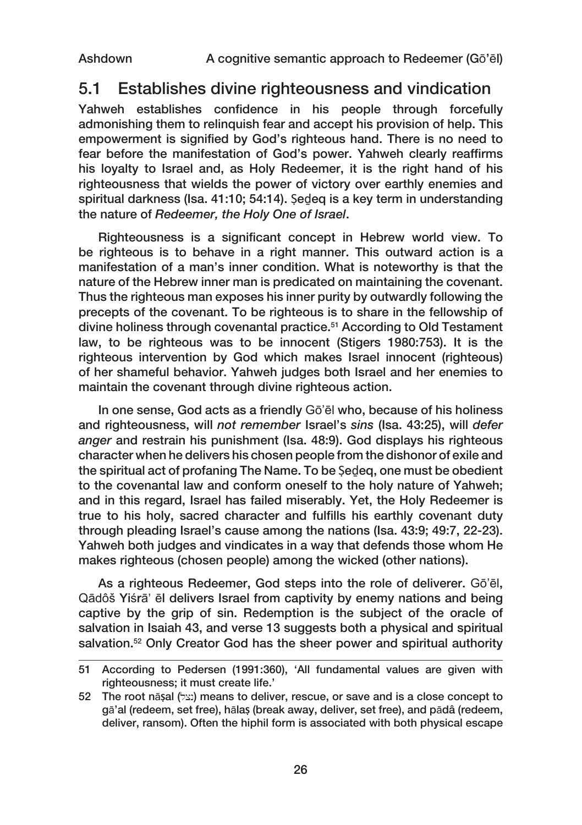### 5.1 Establishes divine righteousness and vindication

Yahweh establishes confidence in his people through forcefully admonishing them to relinquish fear and accept his provision of help. This empowerment is signified by God's righteous hand. There is no need to fear before the manifestation of God's power. Yahweh clearly reaffirms his loyalty to Israel and, as Holy Redeemer, it is the right hand of his righteousness that wields the power of victory over earthly enemies and spiritual darkness (Isa. 41:10; 54:14). Ṣeḏeq is a key term in understanding the nature of *Redeemer, the Holy One of Israel*.

Righteousness is a significant concept in Hebrew world view. To be righteous is to behave in a right manner. This outward action is a manifestation of a man's inner condition. What is noteworthy is that the nature of the Hebrew inner man is predicated on maintaining the covenant. Thus the righteous man exposes his inner purity by outwardly following the precepts of the covenant. To be righteous is to share in the fellowship of divine holiness through covenantal practice.<sup>51</sup> According to Old Testament law, to be righteous was to be innocent (Stigers 1980:753). It is the righteous intervention by God which makes Israel innocent (righteous) of her shameful behavior. Yahweh judges both Israel and her enemies to maintain the covenant through divine righteous action.

In one sense, God acts as a friendly Gō'ēl who, because of his holiness and righteousness, will *not remember* Israel's *sins* (Isa. 43:25), will *defer anger* and restrain his punishment (Isa. 48:9). God displays his righteous character when he delivers his chosen people from the dishonor of exile and the spiritual act of profaning The Name. To be Ṣeḏeq, one must be obedient to the covenantal law and conform oneself to the holy nature of Yahweh; and in this regard, Israel has failed miserably. Yet, the Holy Redeemer is true to his holy, sacred character and fulfills his earthly covenant duty through pleading Israel's cause among the nations (Isa. 43:9; 49:7, 22‑23). Yahweh both judges and vindicates in a way that defends those whom He makes righteous (chosen people) among the wicked (other nations).

As a righteous Redeemer, God steps into the role of deliverer. Gō'ēl, Qādôš Yiśrā' ēl delivers Israel from captivity by enemy nations and being captive by the grip of sin. Redemption is the subject of the oracle of salvation in Isaiah 43, and verse 13 suggests both a physical and spiritual salvation.<sup>52</sup> Only Creator God has the sheer power and spiritual authority

<sup>51</sup> According to Pedersen (1991:360), 'All fundamental values are given with righteousness; it must create life.'

<sup>52</sup> The root nā**Ṣ**al (lxn) means to deliver, rescue, or save and is a close concept to gā'al (redeem, set free), hāla**Ṣ** (break away, deliver, set free), and pādâ (redeem, deliver, ransom). Often the hiphil form is associated with both physical escape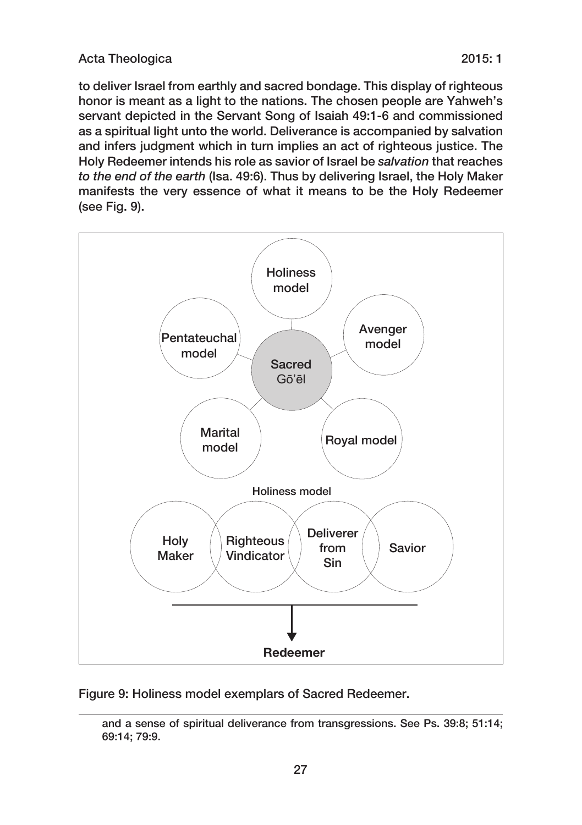to deliver Israel from earthly and sacred bondage. This display of righteous honor is meant as a light to the nations. The chosen people are Yahweh's servant depicted in the Servant Song of Isaiah 49:1‑6 and commissioned as a spiritual light unto the world. Deliverance is accompanied by salvation and infers judgment which in turn implies an act of righteous justice. The Holy Redeemer intends his role as savior of Israel be *salvation* that reaches *to the end of the earth* (Isa. 49:6). Thus by delivering Israel, the Holy Maker manifests the very essence of what it means to be the Holy Redeemer (see Fig. 9).



Figure 9: Holiness model exemplars of Sacred Redeemer.

and a sense of spiritual deliverance from transgressions. See Ps. 39:8; 51:14; 69:14; 79:9.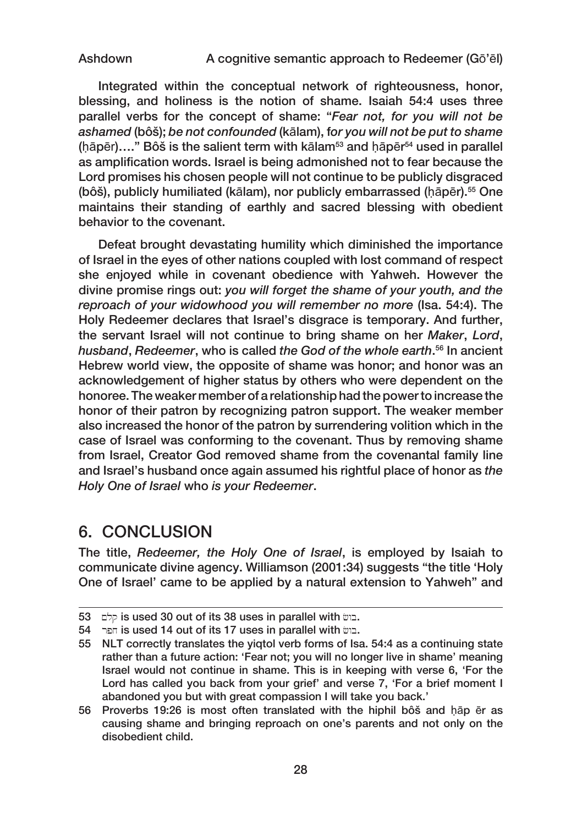Ashdown A cognitive semantic approach to Redeemer (Gō'ēl)

Integrated within the conceptual network of righteousness, honor, blessing, and holiness is the notion of shame. Isaiah 54:4 uses three parallel verbs for the concept of shame: "*Fear not, for you will not be ashamed* (bôš); *be not confounded* (kālam), f*or you will not be put to shame*   $(hāpēr)$ ...." Bôš is the salient term with kālam<sup>53</sup> and hāpēr<sup>54</sup> used in parallel as amplification words. Israel is being admonished not to fear because the Lord promises his chosen people will not continue to be publicly disgraced (bôš), publicly humiliated (kālam), nor publicly embarrassed (hāpēr).<sup>55</sup> One maintains their standing of earthly and sacred blessing with obedient behavior to the covenant.

Defeat brought devastating humility which diminished the importance of Israel in the eyes of other nations coupled with lost command of respect she enjoyed while in covenant obedience with Yahweh. However the divine promise rings out: *you will forget the shame of your youth, and the reproach of your widowhood you will remember no more* (Isa. 54:4). The Holy Redeemer declares that Israel's disgrace is temporary. And further, the servant Israel will not continue to bring shame on her *Maker*, *Lord*, *husband*, *Redeemer*, who is called *the God of the whole earth*. 56 In ancient Hebrew world view, the opposite of shame was honor; and honor was an acknowledgement of higher status by others who were dependent on the honoree. The weaker member of a relationship had the power to increase the honor of their patron by recognizing patron support. The weaker member also increased the honor of the patron by surrendering volition which in the case of Israel was conforming to the covenant. Thus by removing shame from Israel, Creator God removed shame from the covenantal family line and Israel's husband once again assumed his rightful place of honor as *the Holy One of Israel* who *is your Redeemer*.

### 6. CONCLUSION

The title, *Redeemer, the Holy One of Israel*, is employed by Isaiah to communicate divine agency. Williamson (2001:34) suggests "the title 'Holy One of Israel' came to be applied by a natural extension to Yahweh" and

<sup>53</sup> chip is used 30 out of its 38 uses in parallel with  $m = 5$ .

<sup>54</sup> **r** is used 14 out of its 17 uses in parallel with  $m =$ .

<sup>55</sup> NLT correctly translates the yiqtol verb forms of Isa. 54:4 as a continuing state rather than a future action: 'Fear not; you will no longer live in shame' meaning Israel would not continue in shame. This is in keeping with verse 6, 'For the Lord has called you back from your grief' and verse 7, 'For a brief moment I abandoned you but with great compassion I will take you back.'

<sup>56</sup> Proverbs 19:26 is most often translated with the hiphil bôš and ḥāp ēr as causing shame and bringing reproach on one's parents and not only on the disobedient child.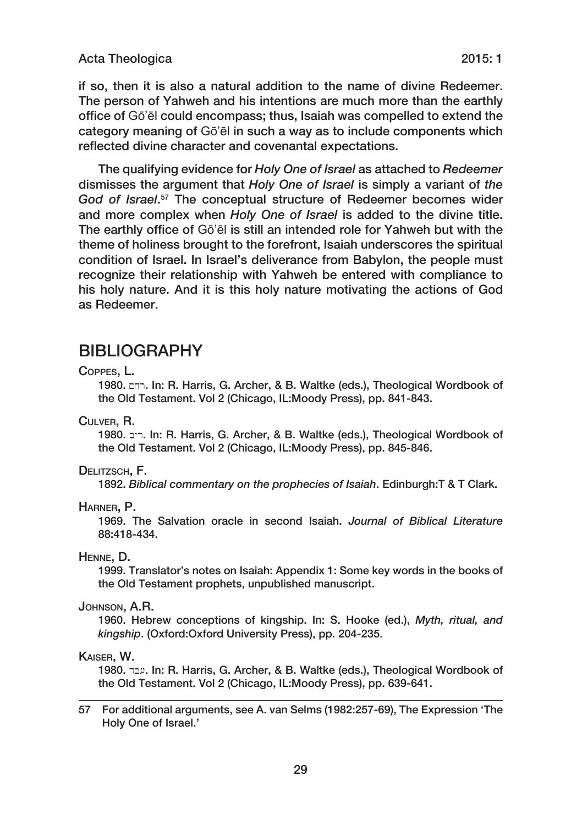if so, then it is also a natural addition to the name of divine Redeemer. The person of Yahweh and his intentions are much more than the earthly office of Gō'ēl could encompass; thus, Isaiah was compelled to extend the category meaning of Gō'ēl in such a way as to include components which reflected divine character and covenantal expectations.

The qualifying evidence for *Holy One of Israel* as attached to *Redeemer* dismisses the argument that *Holy One of Israel* is simply a variant of *the God of Israel*. 57 The conceptual structure of Redeemer becomes wider and more complex when *Holy One of Israel* is added to the divine title. The earthly office of Gō'ēl is still an intended role for Yahweh but with the theme of holiness brought to the forefront, Isaiah underscores the spiritual condition of Israel. In Israel's deliverance from Babylon, the people must recognize their relationship with Yahweh be entered with compliance to his holy nature. And it is this holy nature motivating the actions of God as Redeemer.

### BIBLIOGRAPHY

#### Coppes, L.

1980.  $n=1$ . In: R. Harris, G. Archer, & B. Waltke (eds.), Theological Wordbook of the Old Testament. Vol 2 (Chicago, IL:Moody Press), pp. 841‑843.

Culver, R.

1980. pr: F. Harris, G. Archer, & B. Waltke (eds.), Theological Wordbook of the Old Testament. Vol 2 (Chicago, IL:Moody Press), pp. 845‑846.

Delitzsch, F.

1892. *Biblical commentary on the prophecies of Isaiah*. Edinburgh:T & T Clark.

Harner, P.

1969. The Salvation oracle in second Isaiah. *Journal of Biblical Literature* 88:418‑434.

Henne, D.

1999. Translator's notes on Isaiah: Appendix 1: Some key words in the books of the Old Testament prophets, unpublished manuscript.

Johnson, A.R.

1960. Hebrew conceptions of kingship. In: S. Hooke (ed.), *Myth, ritual, and kingship*. (Oxford:Oxford University Press), pp. 204‑235.

Kaiser, W.

1980. ucr. In: R. Harris, G. Archer, & B. Waltke (eds.), Theological Wordbook of the Old Testament. Vol 2 (Chicago, IL:Moody Press), pp. 639‑641.

57 For additional arguments, see A. van Selms (1982:257‑69), The Expression 'The Holy One of Israel.'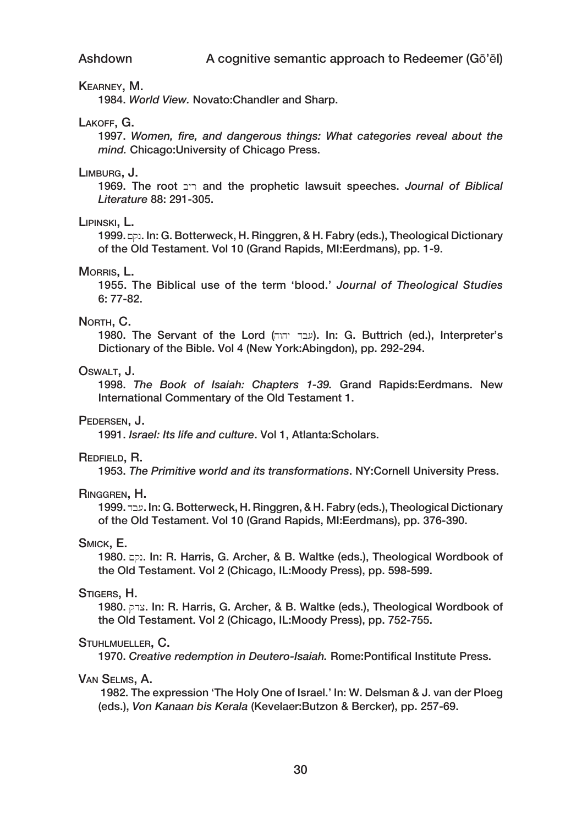#### Kearney, M.

1984. *World View.* Novato:Chandler and Sharp.

#### Lakoff, G.

1997. *Women, fire, and dangerous things: What categories reveal about the mind.* Chicago:University of Chicago Press.

#### Limburg, J.

1969. The root byr and the prophetic lawsuit speeches. *Journal of Biblical Literature* 88: 291‑305.

#### Lipinski, L.

1999. ap. In: G. Botterweck, H. Ringgren, & H. Fabry (eds.), Theological Dictionary of the Old Testament. Vol 10 (Grand Rapids, MI:Eerdmans), pp. 1‑9.

#### MORRIS, L.

1955. The Biblical use of the term 'blood.' *Journal of Theological Studies* 6: 77‑82.

#### NORTH, C.

1980. The Servant of the Lord (hwhy db[). In: G. Buttrich (ed.), Interpreter's Dictionary of the Bible. Vol 4 (New York:Abingdon), pp. 292‑294.

#### OSWALT. J.

1998. *The Book of Isaiah: Chapters 1‑39.* Grand Rapids:Eerdmans. New International Commentary of the Old Testament 1.

#### Pedersen, J.

1991. *Israel: Its life and culture*. Vol 1, Atlanta:Scholars.

#### Redfield, R.

1953. *The Primitive world and its transformations*. NY:Cornell University Press.

#### Ringgren, H.

1999. ucr. G. Botterweck, H. Ringgren, & H. Fabry (eds.), Theological Dictionary of the Old Testament. Vol 10 (Grand Rapids, MI:Eerdmans), pp. 376‑390.

#### Smick, E.

1980. qn. In: R. Harris, G. Archer, & B. Waltke (eds.), Theological Wordbook of the Old Testament. Vol 2 (Chicago, IL:Moody Press), pp. 598‑599.

#### Stigers, H.

1980.  $\overline{p}$  and In: R. Harris, G. Archer, & B. Waltke (eds.), Theological Wordbook of the Old Testament. Vol 2 (Chicago, IL:Moody Press), pp. 752‑755.

#### Stuhlmueller, C.

1970. *Creative redemption in Deutero‑Isaiah.* Rome:Pontifical Institute Press.

#### Van Selms, A.

 1982. The expression 'The Holy One of Israel.' In: W. Delsman & J. van der Ploeg (eds.), *Von Kanaan bis Kerala* (Kevelaer:Butzon & Bercker), pp. 257‑69.